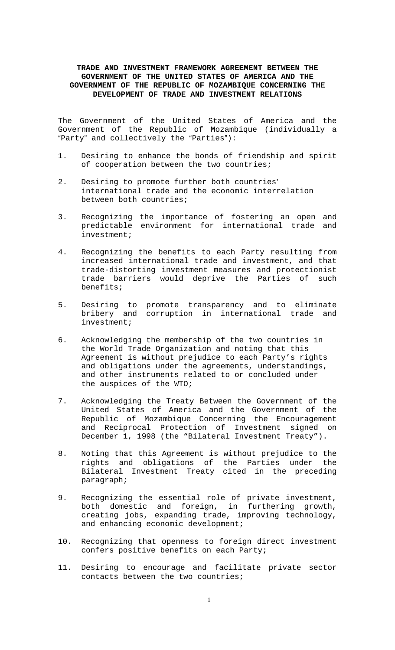# **TRADE AND INVESTMENT FRAMEWORK AGREEMENT BETWEEN THE GOVERNMENT OF THE UNITED STATES OF AMERICA AND THE GOVERNMENT OF THE REPUBLIC OF MOZAMBIQUE CONCERNING THE DEVELOPMENT OF TRADE AND INVESTMENT RELATIONS**

The Government of the United States of America and the Government of the Republic of Mozambique (individually a "Party" and collectively the "Parties"):

- 1. Desiring to enhance the bonds of friendship and spirit of cooperation between the two countries;
- 2. Desiring to promote further both countries' international trade and the economic interrelation between both countries;
- 3. Recognizing the importance of fostering an open and predictable environment for international trade and investment;
- 4. Recognizing the benefits to each Party resulting from increased international trade and investment, and that trade-distorting investment measures and protectionist trade barriers would deprive the Parties of such benefits;
- 5. Desiring to promote transparency and to eliminate bribery and corruption in international trade and investment;
- 6. Acknowledging the membership of the two countries in the World Trade Organization and noting that this Agreement is without prejudice to each Party's rights and obligations under the agreements, understandings, and other instruments related to or concluded under the auspices of the WTO;
- 7. Acknowledging the Treaty Between the Government of the United States of America and the Government of the Republic of Mozambique Concerning the Encouragement and Reciprocal Protection of Investment signed on December 1, 1998 (the "Bilateral Investment Treaty").
- 8. Noting that this Agreement is without prejudice to the rights and obligations of the Parties under the Bilateral Investment Treaty cited in the preceding paragraph;
- 9. Recognizing the essential role of private investment, both domestic and foreign, in furthering growth, creating jobs, expanding trade, improving technology, and enhancing economic development;
- 10. Recognizing that openness to foreign direct investment confers positive benefits on each Party;
- 11. Desiring to encourage and facilitate private sector contacts between the two countries;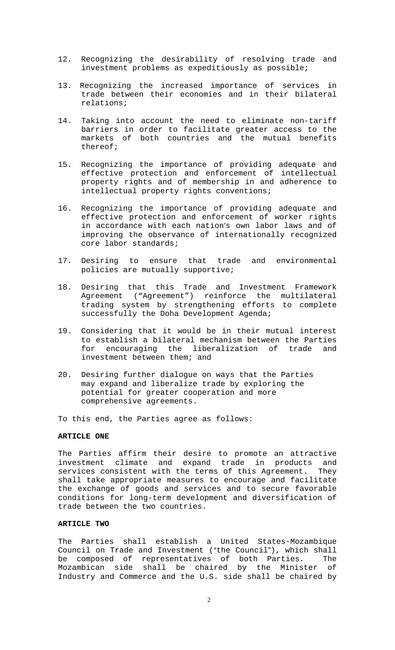- 12. Recognizing the desirability of resolving trade and investment problems as expeditiously as possible;
- 13. Recognizing the increased importance of services in trade between their economies and in their bilateral relations;
- 14. Taking into account the need to eliminate non-tariff barriers in order to facilitate greater access to the markets of both countries and the mutual benefits thereof;
- 15. Recognizing the importance of providing adequate and effective protection and enforcement of intellectual property rights and of membership in and adherence to intellectual property rights conventions;
- 16. Recognizing the importance of providing adequate and effective protection and enforcement of worker rights in accordance with each nation's own labor laws and of improving the observance of internationally recognized core labor standards;
- 17. Desiring to ensure that trade and environmental policies are mutually supportive;
- 18. Desiring that this Trade and Investment Framework Agreement ("Agreement") reinforce the multilateral trading system by strengthening efforts to complete successfully the Doha Development Agenda;
- 19. Considering that it would be in their mutual interest to establish a bilateral mechanism between the Parties for encouraging the liberalization of trade and investment between them; and
- 20. Desiring further dialogue on ways that the Parties may expand and liberalize trade by exploring the potential for greater cooperation and more comprehensive agreements.

To this end, the Parties agree as follows:

### **ARTICLE ONE**

The Parties affirm their desire to promote an attractive investment climate and expand trade in products and services consistent with the terms of this Agreement. They shall take appropriate measures to encourage and facilitate the exchange of goods and services and to secure favorable conditions for long-term development and diversification of trade between the two countries.

### **ARTICLE TWO**

The Parties shall establish a United States-Mozambique Council on Trade and Investment ("the Council"), which shall be composed of representatives of both Parties. The Mozambican side shall be chaired by the Minister of Industry and Commerce and the U.S. side shall be chaired by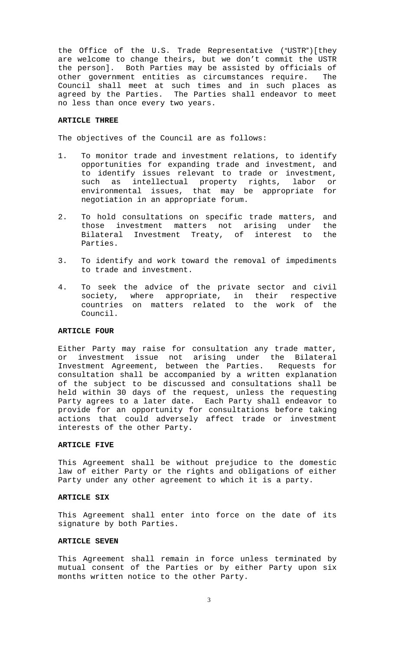the Office of the U.S. Trade Representative ("USTR")[they are welcome to change theirs, but we don't commit the USTR the person]. Both Parties may be assisted by officials of other government entities as circumstances require. The Council shall meet at such times and in such places as<br>agreed by the Parties. The Parties shall endeavor to meet The Parties shall endeavor to meet no less than once every two years.

### **ARTICLE THREE**

The objectives of the Council are as follows:

- 1. To monitor trade and investment relations, to identify opportunities for expanding trade and investment, and to identify issues relevant to trade or investment, such as intellectual property rights, labor or environmental issues, that may be appropriate for negotiation in an appropriate forum.
- 2. To hold consultations on specific trade matters, and those investment matters not arising under the Bilateral Investment Treaty, of interest to the Parties.
- 3. To identify and work toward the removal of impediments to trade and investment.
- 4. To seek the advice of the private sector and civil society, where appropriate, in their respective countries on matters related to the work of the Council.

### **ARTICLE FOUR**

Either Party may raise for consultation any trade matter, or investment issue not arising under the Bilateral Investment Agreement, between the Parties. Requests for consultation shall be accompanied by a written explanation of the subject to be discussed and consultations shall be held within 30 days of the request, unless the requesting Party agrees to a later date. Each Party shall endeavor to provide for an opportunity for consultations before taking actions that could adversely affect trade or investment interests of the other Party.

# **ARTICLE FIVE**

This Agreement shall be without prejudice to the domestic law of either Party or the rights and obligations of either Party under any other agreement to which it is a party.

#### **ARTICLE SIX**

This Agreement shall enter into force on the date of its signature by both Parties.

#### **ARTICLE SEVEN**

This Agreement shall remain in force unless terminated by mutual consent of the Parties or by either Party upon six months written notice to the other Party.